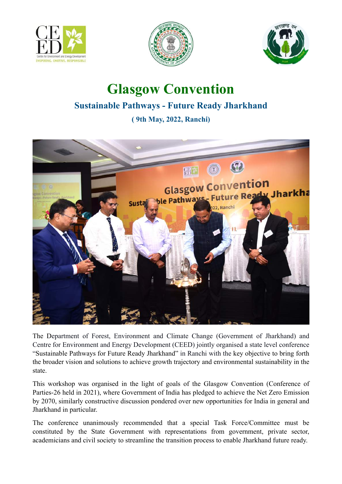





## **Glasgow Convention Sustainable Pathways - Future Ready Jharkhand**

**( 9th May, 2022, Ranchi)**



The Department of Forest, Environment and Climate Change (Government of Jharkhand) and Centre for Environment and Energy Development (CEED) jointly organised a state level conference "Sustainable Pathways for Future Ready Jharkhand" in Ranchi with the key objective to bring forth the broader vision and solutions to achieve growth trajectory and environmental sustainability in the state.

This workshop was organised in the light of goals of the Glasgow Convention (Conference of Parties-26 held in 2021), where Government of India has pledged to achieve the Net Zero Emission by 2070, similarly constructive discussion pondered over new opportunities for India in general and Jharkhand in particular.

The conference unanimously recommended that a special Task Force/Committee must be constituted by the State Government with representations from government, private sector, academicians and civil society to streamline the transition process to enable Jharkhand future ready.